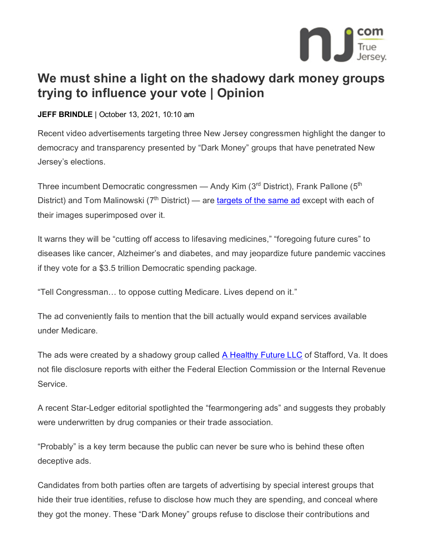

## **We must shine a light on the shadowy dark money groups trying to influence your vote | Opinion**

## **JEFF BRINDLE** | October 13, 2021, 10:10 am

Recent video advertisements targeting three New Jersey congressmen highlight the danger to democracy and transparency presented by "Dark Money" groups that have penetrated New Jersey's elections.

Three incumbent Democratic congressmen — Andy Kim ( $3<sup>rd</sup>$  District), Frank Pallone ( $5<sup>th</sup>$ District) and Tom Malinowski ( $7<sup>th</sup>$  District) — are [targets of the same ad](https://www.nj.com/opinion/2021/09/no-andy-kim-is-not-coming-for-your-medicare-editorial.html) except with each of their images superimposed over it.

It warns they will be "cutting off access to lifesaving medicines," "foregoing future cures" to diseases like cancer, Alzheimer's and diabetes, and may jeopardize future pandemic vaccines if they vote for a \$3.5 trillion Democratic spending package.

"Tell Congressman… to oppose cutting Medicare. Lives depend on it."

The ad conveniently fails to mention that the bill actually would expand services available under Medicare.

The ads were created by a shadowy group called **A Healthy [Future LLC](https://ahealthyfuture.org/)** of Stafford, Va. It does not file disclosure reports with either the Federal Election Commission or the Internal Revenue Service.

A recent Star-Ledger editorial spotlighted the "fearmongering ads" and suggests they probably were underwritten by drug companies or their trade association.

"Probably" is a key term because the public can never be sure who is behind these often deceptive ads.

Candidates from both parties often are targets of advertising by special interest groups that hide their true identities, refuse to disclose how much they are spending, and conceal where they got the money. These "Dark Money" groups refuse to disclose their contributions and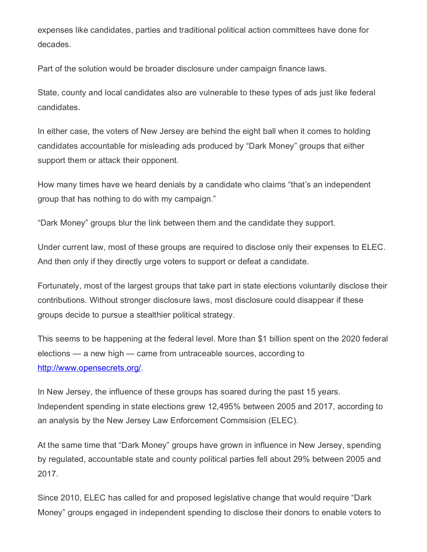expenses like candidates, parties and traditional political action committees have done for decades.

Part of the solution would be broader disclosure under campaign finance laws.

State, county and local candidates also are vulnerable to these types of ads just like federal candidates.

In either case, the voters of New Jersey are behind the eight ball when it comes to holding candidates accountable for misleading ads produced by "Dark Money" groups that either support them or attack their opponent.

How many times have we heard denials by a candidate who claims "that's an independent group that has nothing to do with my campaign."

"Dark Money" groups blur the link between them and the candidate they support.

Under current law, most of these groups are required to disclose only their expenses to ELEC. And then only if they directly urge voters to support or defeat a candidate.

Fortunately, most of the largest groups that take part in state elections voluntarily disclose their contributions. Without stronger disclosure laws, most disclosure could disappear if these groups decide to pursue a stealthier political strategy.

This seems to be happening at the federal level. More than \$1 billion spent on the 2020 federal elections — a new high — came from untraceable sources, according to [http://www.opensecrets.org/.](http://www.opensecrets.org/)

In New Jersey, the influence of these groups has soared during the past 15 years. Independent spending in state elections grew 12,495% between 2005 and 2017, according to an analysis by the New Jersey Law Enforcement Commsision (ELEC).

At the same time that "Dark Money" groups have grown in influence in New Jersey, spending by regulated, accountable state and county political parties fell about 29% between 2005 and 2017.

Since 2010, ELEC has called for and proposed legislative change that would require "Dark Money" groups engaged in independent spending to disclose their donors to enable voters to